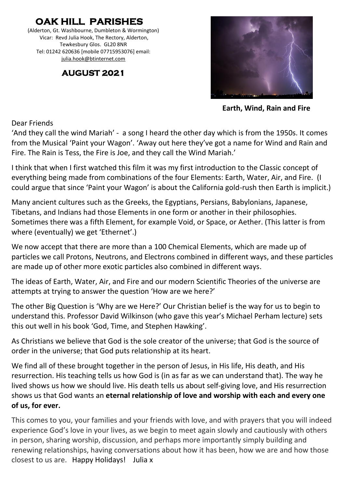# **OAK HILL PARISHES**

(Alderton, Gt. Washbourne, Dumbleton & Wormington) Vicar: Revd Julia Hook, The Rectory, Alderton, Tewkesbury Glos. GL20 8NR Tel: 01242 620636 [mobile 07715953076] email: [julia.hook@btinternet.com](mailto:julia.hook@btinternet.com)

### **AUGUST 2021**



 **Earth, Wind, Rain and Fire** 

#### Dear Friends

'And they call the wind Mariah' - a song I heard the other day which is from the 1950s. It comes from the Musical 'Paint your Wagon'. 'Away out here they've got a name for Wind and Rain and Fire. The Rain is Tess, the Fire is Joe, and they call the Wind Mariah.'

I think that when I first watched this film it was my first introduction to the Classic concept of everything being made from combinations of the four Elements: Earth, Water, Air, and Fire. (I could argue that since 'Paint your Wagon' is about the California gold-rush then Earth is implicit.)

Many ancient cultures such as the Greeks, the Egyptians, Persians, Babylonians, Japanese, Tibetans, and Indians had those Elements in one form or another in their philosophies. Sometimes there was a fifth Element, for example Void, or Space, or Aether. (This latter is from where (eventually) we get 'Ethernet'.)

We now accept that there are more than a 100 Chemical Elements, which are made up of particles we call Protons, Neutrons, and Electrons combined in different ways, and these particles are made up of other more exotic particles also combined in different ways.

The ideas of Earth, Water, Air, and Fire and our modern Scientific Theories of the universe are attempts at trying to answer the question 'How are we here?'

The other Big Question is 'Why are we Here?' Our Christian belief is the way for us to begin to understand this. Professor David Wilkinson (who gave this year's Michael Perham lecture) sets this out well in his book 'God, Time, and Stephen Hawking'.

As Christians we believe that God is the sole creator of the universe; that God is the source of order in the universe; that God puts relationship at its heart.

We find all of these brought together in the person of Jesus, in His life, His death, and His resurrection. His teaching tells us how God is (in as far as we can understand that). The way he lived shows us how we should live. His death tells us about self-giving love, and His resurrection shows us that God wants an **eternal relationship of love and worship with each and every one of us, for ever.**

This comes to you, your families and your friends with love, and with prayers that you will indeed experience God's love in your lives, as we begin to meet again slowly and cautiously with others in person, sharing worship, discussion, and perhaps more importantly simply building and renewing relationships, having conversations about how it has been, how we are and how those closest to us are. Happy Holidays! Julia x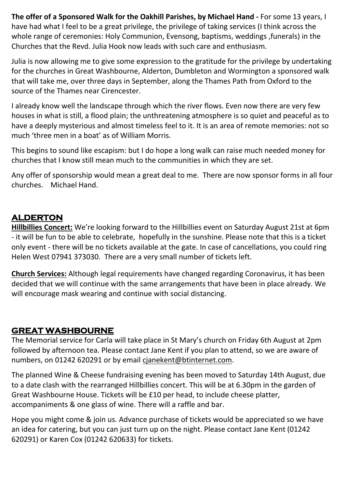**The offer of a Sponsored Walk for the Oakhill Parishes, by Michael Hand -** For some 13 years, I have had what I feel to be a great privilege, the privilege of taking services (I think across the whole range of ceremonies: Holy Communion, Evensong, baptisms, weddings ,funerals) in the Churches that the Revd. Julia Hook now leads with such care and enthusiasm.

Julia is now allowing me to give some expression to the gratitude for the privilege by undertaking for the churches in Great Washbourne, Alderton, Dumbleton and Wormington a sponsored walk that will take me, over three days in September, along the Thames Path from Oxford to the source of the Thames near Cirencester.

I already know well the landscape through which the river flows. Even now there are very few houses in what is still, a flood plain; the unthreatening atmosphere is so quiet and peaceful as to have a deeply mysterious and almost timeless feel to it. It is an area of remote memories: not so much 'three men in a boat' as of William Morris.

This begins to sound like escapism: but I do hope a long walk can raise much needed money for churches that I know still mean much to the communities in which they are set.

Any offer of sponsorship would mean a great deal to me. There are now sponsor forms in all four churches. Michael Hand.

## **ALDERTON**

**Hillbillies Concert:** We're looking forward to the Hillbillies event on Saturday August 21st at 6pm - it will be fun to be able to celebrate, hopefully in the sunshine. Please note that this is a ticket only event - there will be no tickets available at the gate. In case of cancellations, you could ring Helen West 07941 373030. There are a very small number of tickets left.

**Church Services:** Although legal requirements have changed regarding Coronavirus, it has been decided that we will continue with the same arrangements that have been in place already. We will encourage mask wearing and continue with social distancing.

## **GREAT WASHBOURNE**

The Memorial service for Carla will take place in St Mary's church on Friday 6th August at 2pm followed by afternoon tea. Please contact Jane Kent if you plan to attend, so we are aware of numbers, on 01242 620291 or by email [cjanekent@btinternet.com.](mailto:cjanekent@btinternet.com)

The planned Wine & Cheese fundraising evening has been moved to Saturday 14th August, due to a date clash with the rearranged Hillbillies concert. This will be at 6.30pm in the garden of Great Washbourne House. Tickets will be £10 per head, to include cheese platter, accompaniments & one glass of wine. There will a raffle and bar.

Hope you might come & join us. Advance purchase of tickets would be appreciated so we have an idea for catering, but you can just turn up on the night. Please contact Jane Kent (01242 620291) or Karen Cox (01242 620633) for tickets.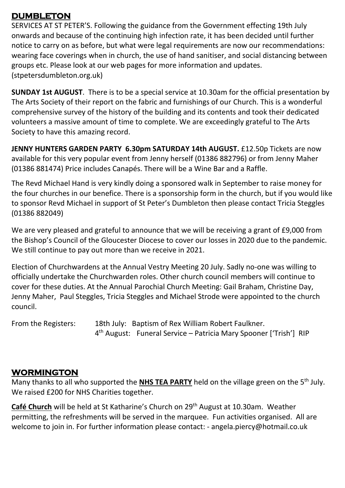#### **DUMBLETON**

SERVICES AT ST PETER'S. Following the guidance from the Government effecting 19th July onwards and because of the continuing high infection rate, it has been decided until further notice to carry on as before, but what were legal requirements are now our recommendations: wearing face coverings when in church, the use of hand sanitiser, and social distancing between groups etc. Please look at our web pages for more information and updates. (stpetersdumbleton.org.uk)

**SUNDAY 1st AUGUST**. There is to be a special service at 10.30am for the official presentation by The Arts Society of their report on the fabric and furnishings of our Church. This is a wonderful comprehensive survey of the history of the building and its contents and took their dedicated volunteers a massive amount of time to complete. We are exceedingly grateful to The Arts Society to have this amazing record.

**JENNY HUNTERS GARDEN PARTY 6.30pm SATURDAY 14th AUGUST.** £12.50p Tickets are now available for this very popular event from Jenny herself (01386 882796) or from Jenny Maher (01386 881474) Price includes Canapés. There will be a Wine Bar and a Raffle.

The Revd Michael Hand is very kindly doing a sponsored walk in September to raise money for the four churches in our benefice. There is a sponsorship form in the church, but if you would like to sponsor Revd Michael in support of St Peter's Dumbleton then please contact Tricia Steggles (01386 882049)

We are very pleased and grateful to announce that we will be receiving a grant of £9,000 from the Bishop's Council of the Gloucester Diocese to cover our losses in 2020 due to the pandemic. We still continue to pay out more than we receive in 2021.

Election of Churchwardens at the Annual Vestry Meeting 20 July. Sadly no-one was willing to officially undertake the Churchwarden roles. Other church council members will continue to cover for these duties. At the Annual Parochial Church Meeting: Gail Braham, Christine Day, Jenny Maher, Paul Steggles, Tricia Steggles and Michael Strode were appointed to the church council.

From the Registers: 18th July: Baptism of Rex William Robert Faulkner. 4<sup>th</sup> August: Funeral Service – Patricia Mary Spooner ['Trish'] RIP

## **WORMINGTON**

Many thanks to all who supported the **NHS TEA PARTY** held on the village green on the 5<sup>th</sup> July. We raised £200 for NHS Charities together.

**Café Church** will be held at St Katharine's Church on 29th August at 10.30am. Weather permitting, the refreshments will be served in the marquee. Fun activities organised. All are welcome to join in. For further information please contact: - angela.piercy@hotmail.co.uk